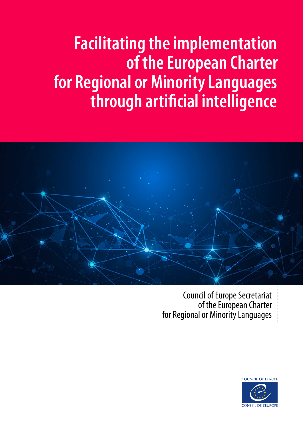# **Facilitating the implementation of the European Charter for Regional or Minority Languages through artificial intelligence**



Council of Europe Secretariat of the European Charter for Regional or Minority Languages

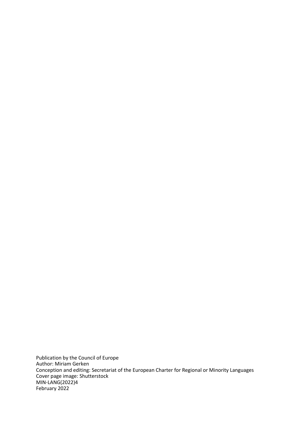Publication by the Council of Europe Author: Miriam Gerken Conception and editing: Secretariat of the European Charter for Regional or Minority Languages Cover page image: Shutterstock MIN-LANG(2022)4 February 2022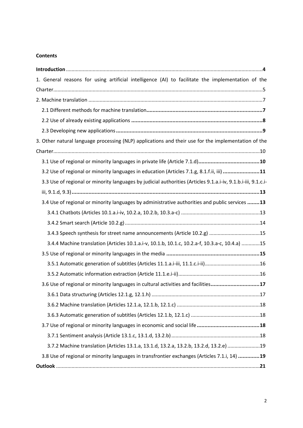#### **Contents**

<span id="page-2-0"></span>

| 1. General reasons for using artificial intelligence (AI) to facilitate the implementation of the             |
|---------------------------------------------------------------------------------------------------------------|
|                                                                                                               |
|                                                                                                               |
|                                                                                                               |
|                                                                                                               |
|                                                                                                               |
| 3. Other natural language processing (NLP) applications and their use for the implementation of the           |
|                                                                                                               |
|                                                                                                               |
| 3.2 Use of regional or minority languages in education (Articles 7.1.g, 8.1.f.ii, iii) 11                     |
| 3.3 Use of regional or minority languages by judicial authorities (Articles 9.1.a.i-iv, 9.1.b.i-iii, 9.1.c.i- |
|                                                                                                               |
| 3.4 Use of regional or minority languages by administrative authorities and public services 13                |
|                                                                                                               |
|                                                                                                               |
| 3.4.3 Speech synthesis for street name announcements (Article 10.2.g) 15                                      |
| 3.4.4 Machine translation (Articles 10.1.a.i-v, 10.1.b, 10.1.c, 10.2.a-f, 10.3.a-c, 10.4.a) 15                |
|                                                                                                               |
|                                                                                                               |
|                                                                                                               |
| 3.6 Use of regional or minority languages in cultural activities and facilities17                             |
|                                                                                                               |
|                                                                                                               |
|                                                                                                               |
|                                                                                                               |
|                                                                                                               |
| 3.7.2 Machine translation (Articles 13.1.a, 13.1.d, 13.2.a, 13.2.b, 13.2.d, 13.2.e) 19                        |
| 3.8 Use of regional or minority languages in transfrontier exchanges (Articles 7.1.i, 14) 19                  |
|                                                                                                               |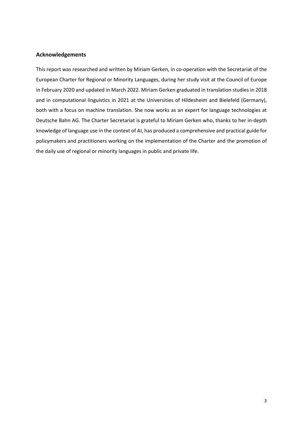#### **Acknowledgements**

This report was researched and written by Miriam Gerken, in co-operation with the Secretariat of the European Charter for Regional or Minority Languages, during her study visit at the Council of Europe in February 2020 and updated in March 2022. Miriam Gerken graduated in translation studies in 2018 and in computational linguistics in 2021 at the Universities of Hildesheim and Bielefeld (Germany), both with a focus on machine translation. She now works as an expert for language technologies at Deutsche Bahn AG. The Charter Secretariat is grateful to Miriam Gerken who, thanks to her in-depth knowledge of language use in the context of AI, has produced a comprehensive and practical guide for policymakers and practitioners working on the implementation of the Charter and the promotion of the daily use of regional or minority languages in public and private life.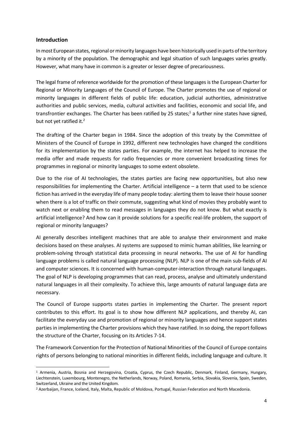#### **Introduction**

In most European states, regional or minority languages have been historically used in parts of the territory by a minority of the population. The demographic and legal situation of such languages varies greatly. However, what many have in common is a greater or lesser degree of precariousness.

The legal frame of reference worldwide for the promotion of these languages is the European Charter for Regional or Minority Languages of the Council of Europe. The Charter promotes the use of regional or minority languages in different fields of public life: education, judicial authorities, administrative authorities and public services, media, cultural activities and facilities, economic and social life, and transfrontier exchanges. The Charter has been ratified by 25 states;<sup>1</sup> a further nine states have signed, but not yet ratified it.<sup>2</sup>

The drafting of the Charter began in 1984. Since the adoption of this treaty by the Committee of Ministers of the Council of Europe in 1992, different new technologies have changed the conditions for its implementation by the states parties. For example, the internet has helped to increase the media offer and made requests for radio frequencies or more convenient broadcasting times for programmes in regional or minority languages to some extent obsolete.

Due to the rise of AI technologies, the states parties are facing new opportunities, but also new responsibilities for implementing the Charter. Artificial intelligence – a term that used to be science fiction has arrived in the everyday life of many people today: alerting them to leave their house sooner when there is a lot of traffic on their commute, suggesting what kind of movies they probably want to watch next or enabling them to read messages in languages they do not know. But what exactly is artificial intelligence? And how can it provide solutions for a specific real-life problem, the support of regional or minority languages?

AI generally describes intelligent machines that are able to analyse their environment and make decisions based on these analyses. AI systems are supposed to mimic human abilities, like learning or problem-solving through statistical data processing in neural networks. The use of AI for handling language problems is called natural language processing (NLP). NLP is one of the main sub-fields of AI and computer sciences. It is concerned with human-computer-interaction through natural languages. The goal of NLP is developing programmes that can read, process, analyse and ultimately understand natural languages in all their complexity. To achieve this, large amounts of natural language data are necessary.

The Council of Europe supports states parties in implementing the Charter. The present report contributes to this effort. Its goal is to show how different NLP applications, and thereby AI, can facilitate the everyday use and promotion of regional or minority languages and hence support states parties in implementing the Charter provisions which they have ratified. In so doing, the report follows the structure of the Charter, focusing on its Articles 7-14.

The Framework Convention for the Protection of National Minorities of the Council of Europe contains rights of persons belonging to national minorities in different fields, including language and culture. It

<sup>1</sup> Armenia, Austria, Bosnia and Herzegovina, Croatia, Cyprus, the Czech Republic, Denmark, Finland, Germany, Hungary, Liechtenstein, Luxembourg, Montenegro, the Netherlands, Norway, Poland, Romania, Serbia, Slovakia, Slovenia, Spain, Sweden, Switzerland, Ukraine and the United Kingdom.

<sup>2</sup> Azerbaijan, France, Iceland, Italy, Malta, Republic of Moldova, Portugal, Russian Federation and North Macedonia.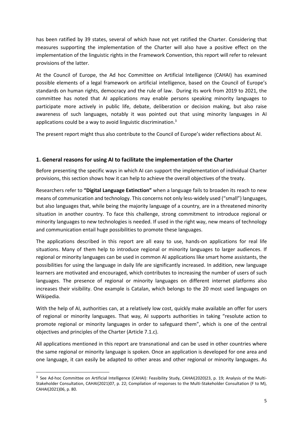has been ratified by 39 states, several of which have not yet ratified the Charter. Considering that measures supporting the implementation of the Charter will also have a positive effect on the implementation of the linguistic rights in the Framework Convention, this report will refer to relevant provisions of the latter.

At the Council of Europe, the Ad hoc Committee on Artificial Intelligence (CAHAI) has examined possible elements of a legal framework on artificial intelligence, based on the Council of Europe's standards on human rights, democracy and the rule of law. During its work from 2019 to 2021, the committee has noted that AI applications may enable persons speaking minority languages to participate more actively in public life, debate, deliberation or decision making, but also raise awareness of such languages, notably it was pointed out that using minority languages in AI applications could be a way to avoid linguistic discrimination.<sup>3</sup>

The present report might thus also contribute to the Council of Europe's wider reflections about AI.

#### <span id="page-5-0"></span>**1. General reasons for using AI to facilitate the implementation of the Charter**

Before presenting the specific ways in which AI can support the implementation of individual Charter provisions, this section shows how it can help to achieve the overall objectives of the treaty.

Researchers refer to **"Digital Language Extinction"** when a language fails to broaden its reach to new means of communication and technology. This concerns not only less-widely used ("small") languages, but also languages that, while being the majority language of a country, are in a threatened minority situation in another country. To face this challenge, strong commitment to introduce regional or minority languages to new technologies is needed. If used in the right way, new means of technology and communication entail huge possibilities to promote these languages.

The applications described in this report are all easy to use, hands-on applications for real life situations. Many of them help to introduce regional or minority languages to larger audiences. If regional or minority languages can be used in common AI applications like smart home assistants, the possibilities for using the language in daily life are significantly increased. In addition, new language learners are motivated and encouraged, which contributes to increasing the number of users of such languages. The presence of regional or minority languages on different internet platforms also increases their visibility. One example is Catalan, which belongs to the 20 most used languages on Wikipedia.

With the help of AI, authorities can, at a relatively low cost, quickly make available an offer for users of regional or minority languages. That way, AI supports authorities in taking "resolute action to promote regional or minority languages in order to safeguard them", which is one of the central objectives and principles of the Charter (Article 7.1.c).

All applications mentioned in this report are transnational and can be used in other countries where the same regional or minority language is spoken. Once an application is developed for one area and one language, it can easily be adapted to other areas and other regional or minority languages. As

 $3$  See Ad-hoc Committee on Artificial Intelligence (CAHAI): Feasibility Study, CAHAI(2020)23, p. 19; Analysis of the Multi-Stakeholder Consultation, CAHAI(2021)07, p. 22; Compilation of responses to the Multi-Stakeholder Consultation (F to M), CAHAI(2021)06, p. 80.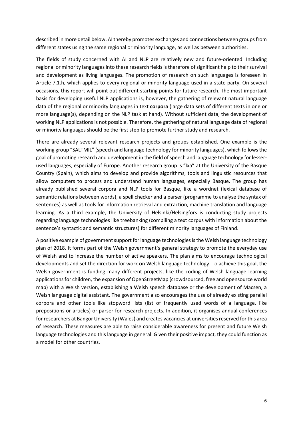described in more detail below, AI thereby promotes exchanges and connections between groups from different states using the same regional or minority language, as well as between authorities.

The fields of study concerned with AI and NLP are relatively new and future-oriented. Including regional or minority languages into these research fields is therefore of significant help to their survival and development as living languages. The promotion of research on such languages is foreseen in Article 7.1.h, which applies to every regional or minority language used in a state party. On several occasions, this report will point out different starting points for future research. The most important basis for developing useful NLP applications is, however, the gathering of relevant natural language data of the regional or minority languages in text **corpora** (large data sets of different texts in one or more language(s), depending on the NLP task at hand). Without sufficient data, the development of working NLP applications is not possible. Therefore, the gathering of natural language data of regional or minority languages should be the first step to promote further study and research.

There are already several relevant research projects and groups established. One example is the working group "SALTMIL" (speech and language technology for minority languages), which follows the goal of promoting research and development in the field of speech and language technology for lesserused languages, especially of Europe. Another research group is "Ixa" at the University of the Basque Country (Spain), which aims to develop and provide algorithms, tools and linguistic resources that allow computers to process and understand human languages, especially Basque. The group has already published several corpora and NLP tools for Basque, like a wordnet (lexical database of semantic relations between words), a spell checker and a parser (programme to analyse the syntax of sentences) as well as tools for information retrieval and extraction, machine translation and language learning. As a third example, the University of Helsinki/Helsingfors is conducting study projects regarding language technologies like treebanking (compiling a text corpus with information about the sentence's syntactic and semantic structures) for different minority languages of Finland.

A positive example of government support for language technologies is the Welsh language technology plan of 2018. It forms part of the Welsh government's general strategy to promote the everyday use of Welsh and to increase the number of active speakers. The plan aims to encourage technological developments and set the direction for work on Welsh language technology. To achieve this goal, the Welsh government is funding many different projects, like the coding of Welsh language learning applications for children, the expansion of OpenStreetMap (crowdsourced, free and opensource world map) with a Welsh version, establishing a Welsh speech database or the development of Macsen, a Welsh language digital assistant. The government also encourages the use of already existing parallel corpora and other tools like stopword lists (list of frequently used words of a language, like prepositions or articles) or parser for research projects. In addition, it organises annual conferences for researchers at Bangor University (Wales) and creates vacancies at universities reserved for this area of research. These measures are able to raise considerable awareness for present and future Welsh language technologies and this language in general. Given their positive impact, they could function as a model for other countries.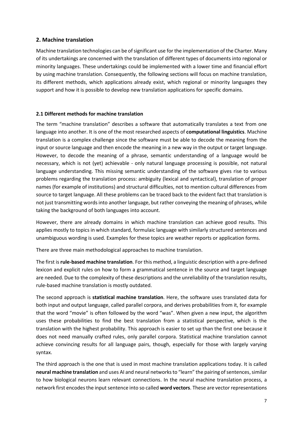#### <span id="page-7-0"></span>**2. Machine translation**

Machine translation technologies can be of significant use for the implementation of the Charter. Many of its undertakings are concerned with the translation of different types of documents into regional or minority languages. These undertakings could be implemented with a lower time and financial effort by using machine translation. Consequently, the following sections will focus on machine translation, its different methods, which applications already exist, which regional or minority languages they support and how it is possible to develop new translation applications for specific domains.

#### <span id="page-7-1"></span>**2.1 Different methods for machine translation**

The term "machine translation" describes a software that automatically translates a text from one language into another. It is one of the most researched aspects of **computational linguistics**. Machine translation is a complex challenge since the software must be able to decode the meaning from the input or source language and then encode the meaning in a new way in the output or target language. However, to decode the meaning of a phrase, semantic understanding of a language would be necessary, which is not (yet) achievable - only natural language processing is possible, not natural language understanding. This missing semantic understanding of the software gives rise to various problems regarding the translation process: ambiguity (lexical and syntactical), translation of proper names (for example of institutions) and structural difficulties, not to mention cultural differences from source to target language. All these problems can be traced back to the evident fact that translation is not just transmitting words into another language, but rather conveying the meaning of phrases, while taking the background of both languages into account.

However, there are already domains in which machine translation can achieve good results. This applies mostly to topics in which standard, formulaic language with similarly structured sentences and unambiguous wording is used. Examples for these topics are weather reports or application forms.

There are three main methodological approaches to machine translation.

The first is **rule-based machine translation**. For this method, a linguistic description with a pre-defined lexicon and explicit rules on how to form a grammatical sentence in the source and target language are needed. Due to the complexity of these descriptions and the unreliability of the translation results, rule-based machine translation is mostly outdated.

The second approach is **statistical machine translation**. Here, the software uses translated data for both input and output language, called parallel corpora, and derives probabilities from it, for example that the word "movie" is often followed by the word "was". When given a new input, the algorithm uses these probabilities to find the best translation from a statistical perspective, which is the translation with the highest probability. This approach is easier to set up than the first one because it does not need manually crafted rules, only parallel corpora. Statistical machine translation cannot achieve convincing results for all language pairs, though, especially for those with largely varying syntax.

The third approach is the one that is used in most machine translation applications today. It is called **neural machine translation** and uses AI and neural networks to "learn" the pairing of sentences, similar to how biological neurons learn relevant connections. In the neural machine translation process, a network first encodes the input sentence into so called **word vectors**. These are vector representations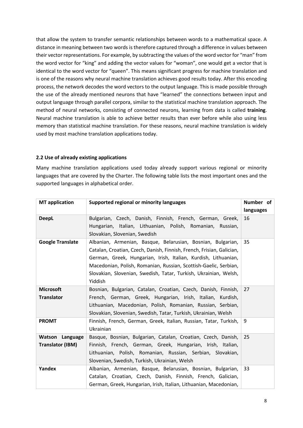that allow the system to transfer semantic relationships between words to a mathematical space. A distance in meaning between two words is therefore captured through a difference in values between their vector representations. For example, by subtracting the values of the word vector for "man" from the word vector for "king" and adding the vector values for "woman", one would get a vector that is identical to the word vector for "queen". This means significant progress for machine translation and is one of the reasons why neural machine translation achieves good results today. After this encoding process, the network decodes the word vectors to the output language. This is made possible through the use of the already mentioned neurons that have "learned" the connections between input and output language through parallel corpora, similar to the statistical machine translation approach. The method of neural networks, consisting of connected neurons, learning from data is called **training**. Neural machine translation is able to achieve better results than ever before while also using less memory than statistical machine translation. For these reasons, neural machine translation is widely used by most machine translation applications today.

#### <span id="page-8-0"></span>**2.2 Use of already existing applications**

Many machine translation applications used today already support various regional or minority languages that are covered by the Charter. The following table lists the most important ones and the supported languages in alphabetical order.

| <b>MT</b> application   | Supported regional or minority languages                              |           |  |  |  |
|-------------------------|-----------------------------------------------------------------------|-----------|--|--|--|
|                         |                                                                       | languages |  |  |  |
| <b>DeepL</b>            | Bulgarian, Czech, Danish, Finnish, French, German, Greek,             | 16        |  |  |  |
|                         | Hungarian, Italian, Lithuanian, Polish, Romanian, Russian,            |           |  |  |  |
|                         | Slovakian, Slovenian, Swedish                                         |           |  |  |  |
| <b>Google Translate</b> | Albanian, Armenian, Basque, Belarusian, Bosnian, Bulgarian,           |           |  |  |  |
|                         | Catalan, Croatian, Czech, Danish, Finnish, French, Frisian, Galician, |           |  |  |  |
|                         | German, Greek, Hungarian, Irish, Italian, Kurdish, Lithuanian,        |           |  |  |  |
|                         | Macedonian, Polish, Romanian, Russian, Scottish-Gaelic, Serbian,      |           |  |  |  |
|                         | Slovakian, Slovenian, Swedish, Tatar, Turkish, Ukrainian, Welsh,      |           |  |  |  |
|                         | Yiddish                                                               |           |  |  |  |
| <b>Microsoft</b>        | Bosnian, Bulgarian, Catalan, Croatian, Czech, Danish, Finnish,        | 27        |  |  |  |
| <b>Translator</b>       | French, German, Greek, Hungarian, Irish, Italian, Kurdish,            |           |  |  |  |
|                         | Lithuanian, Macedonian, Polish, Romanian, Russian, Serbian,           |           |  |  |  |
|                         | Slovakian, Slovenian, Swedish, Tatar, Turkish, Ukrainian, Welsh       |           |  |  |  |
| <b>PROMT</b>            | Finnish, French, German, Greek, Italian, Russian, Tatar, Turkish,     | 9         |  |  |  |
|                         | Ukrainian                                                             |           |  |  |  |
| Watson Language         | Basque, Bosnian, Bulgarian, Catalan, Croatian, Czech, Danish,         | 25        |  |  |  |
| <b>Translator (IBM)</b> | Finnish, French, German, Greek, Hungarian, Irish, Italian,            |           |  |  |  |
|                         | Lithuanian, Polish, Romanian, Russian, Serbian, Slovakian,            |           |  |  |  |
|                         | Slovenian, Swedish, Turkish, Ukrainian, Welsh                         |           |  |  |  |
| Yandex                  | Albanian, Armenian, Basque, Belarusian, Bosnian, Bulgarian,           | 33        |  |  |  |
|                         | Catalan, Croatian, Czech, Danish, Finnish, French, Galician,          |           |  |  |  |
|                         | German, Greek, Hungarian, Irish, Italian, Lithuanian, Macedonian,     |           |  |  |  |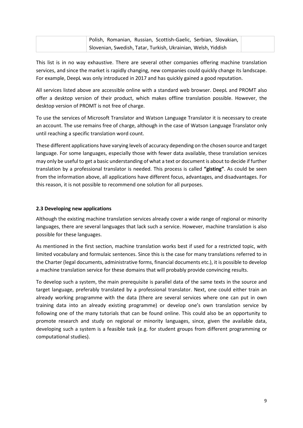This list is in no way exhaustive. There are several other companies offering machine translation services, and since the market is rapidly changing, new companies could quickly change its landscape. For example, DeepL was only introduced in 2017 and has quickly gained a good reputation.

All services listed above are accessible online with a standard web browser. DeepL and PROMT also offer a desktop version of their product, which makes offline translation possible. However, the desktop version of PROMT is not free of charge.

To use the services of Microsoft Translator and Watson Language Translator it is necessary to create an account. The use remains free of charge, although in the case of Watson Language Translator only until reaching a specific translation word count.

These different applications have varying levels of accuracy depending on the chosen source and target language. For some languages, especially those with fewer data available, these translation services may only be useful to get a basic understanding of what a text or document is about to decide if further translation by a professional translator is needed. This process is called **"gisting"**. As could be seen from the information above, all applications have different focus, advantages, and disadvantages. For this reason, it is not possible to recommend one solution for all purposes.

#### <span id="page-9-0"></span>**2.3 Developing new applications**

Although the existing machine translation services already cover a wide range of regional or minority languages, there are several languages that lack such a service. However, machine translation is also possible for these languages.

As mentioned in the first section, machine translation works best if used for a restricted topic, with limited vocabulary and formulaic sentences. Since this is the case for many translations referred to in the Charter (legal documents, administrative forms, financial documents etc.), it is possible to develop a machine translation service for these domains that will probably provide convincing results.

To develop such a system, the main prerequisite is parallel data of the same texts in the source and target language, preferably translated by a professional translator. Next, one could either train an already working programme with the data (there are several services where one can put in own training data into an already existing programme) or develop one's own translation service by following one of the many tutorials that can be found online. This could also be an opportunity to promote research and study on regional or minority languages, since, given the available data, developing such a system is a feasible task (e.g. for student groups from different programming or computational studies).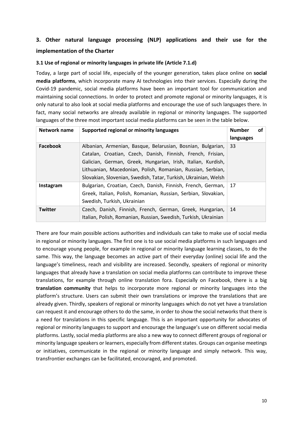# <span id="page-10-0"></span>**3. Other natural language processing (NLP) applications and their use for the implementation of the Charter**

#### <span id="page-10-1"></span>**3.1 Use of regional or minority languages in private life (Article 7.1.d)**

Today, a large part of social life, especially of the younger generation, takes place online on **social media platforms**, which incorporate many AI technologies into their services. Especially during the Covid-19 pandemic, social media platforms have been an important tool for communication and maintaining social connections. In order to protect and promote regional or minority languages, it is only natural to also look at social media platforms and encourage the use of such languages there. In fact, many social networks are already available in regional or minority languages. The supported languages of the three most important social media platforms can be seen in the table below.

| Network name    | Supported regional or minority languages                                                                                                                                                                                                                                                                                     |           | of |
|-----------------|------------------------------------------------------------------------------------------------------------------------------------------------------------------------------------------------------------------------------------------------------------------------------------------------------------------------------|-----------|----|
|                 |                                                                                                                                                                                                                                                                                                                              | languages |    |
| <b>Facebook</b> | Albanian, Armenian, Basque, Belarusian, Bosnian, Bulgarian,<br>Catalan, Croatian, Czech, Danish, Finnish, French, Frisian,<br>Galician, German, Greek, Hungarian, Irish, Italian, Kurdish,<br>Lithuanian, Macedonian, Polish, Romanian, Russian, Serbian,<br>Slovakian, Slovenian, Swedish, Tatar, Turkish, Ukrainian, Welsh |           |    |
| Instagram       | Bulgarian, Croatian, Czech, Danish, Finnish, French, German,<br>Greek, Italian, Polish, Romanian, Russian, Serbian, Slovakian,<br>Swedish, Turkish, Ukrainian                                                                                                                                                                | 17        |    |
| <b>Twitter</b>  | Czech, Danish, Finnish, French, German, Greek, Hungarian,<br>Italian, Polish, Romanian, Russian, Swedish, Turkish, Ukrainian                                                                                                                                                                                                 |           |    |

There are four main possible actions authorities and individuals can take to make use of social media in regional or minority languages. The first one is to use social media platforms in such languages and to encourage young people, for example in regional or minority language learning classes, to do the same. This way, the language becomes an active part of their everyday (online) social life and the language's timeliness, reach and visibility are increased. Secondly, speakers of regional or minority languages that already have a translation on social media platforms can contribute to improve these translations, for example through online translation fora. Especially on Facebook, there is a big **translation community** that helps to incorporate more regional or minority languages into the platform's structure. Users can submit their own translations or improve the translations that are already given. Thirdly, speakers of regional or minority languages which do not yet have a translation can request it and encourage others to do the same, in order to show the social networks that there is a need for translations in this specific language. This is an important opportunity for advocates of regional or minority languages to support and encourage the language's use on different social media platforms. Lastly, social media platforms are also a new way to connect different groups of regional or minority language speakers or learners, especially from different states. Groups can organise meetings or initiatives, communicate in the regional or minority language and simply network. This way, transfrontier exchanges can be facilitated, encouraged, and promoted.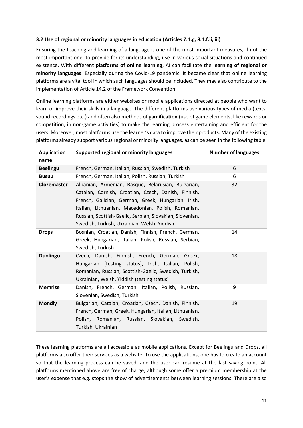#### <span id="page-11-0"></span>**3.2 Use of regional or minority languages in education (Articles 7.1.g, 8.1.f.ii, iii)**

Ensuring the teaching and learning of a language is one of the most important measures, if not the most important one, to provide for its understanding, use in various social situations and continued existence. With different **platforms of online learning**, AI can facilitate the **learning of regional or minority languages**. Especially during the Covid-19 pandemic, it became clear that online learning platforms are a vital tool in which such languages should be included. They may also contribute to the implementation of Article 14.2 of the Framework Convention.

Online learning platforms are either websites or mobile applications directed at people who want to learn or improve their skills in a language. The different platforms use various types of media (texts, sound recordings etc.) and often also methods of **gamification** (use of game elements, like rewards or competition, in non-game activities) to make the learning process entertaining and efficient for the users. Moreover, most platforms use the learner's data to improve their products. Many of the existing platforms already support various regional or minority languages, as can be seen in the following table.

| <b>Application</b><br>name | Supported regional or minority languages                                                                                                                                                                                                                                                                                         | <b>Number of languages</b> |
|----------------------------|----------------------------------------------------------------------------------------------------------------------------------------------------------------------------------------------------------------------------------------------------------------------------------------------------------------------------------|----------------------------|
| <b>Beelingu</b>            | French, German, Italian, Russian, Swedish, Turkish                                                                                                                                                                                                                                                                               | 6                          |
| <b>Busuu</b>               | French, German, Italian, Polish, Russian, Turkish                                                                                                                                                                                                                                                                                | 6                          |
| Clozemaster                | Albanian, Armenian, Basque, Belarusian, Bulgarian,<br>Catalan, Cornish, Croatian, Czech, Danish, Finnish,<br>French, Galician, German, Greek, Hungarian, Irish,<br>Italian, Lithuanian, Macedonian, Polish, Romanian,<br>Russian, Scottish-Gaelic, Serbian, Slovakian, Slovenian,<br>Swedish, Turkish, Ukrainian, Welsh, Yiddish | 32                         |
| <b>Drops</b>               | Bosnian, Croatian, Danish, Finnish, French, German,<br>Greek, Hungarian, Italian, Polish, Russian, Serbian,<br>Swedish, Turkish                                                                                                                                                                                                  | 14                         |
| <b>Duolingo</b>            | Czech, Danish, Finnish, French, German, Greek,<br>Hungarian (testing status), Irish, Italian, Polish,<br>Romanian, Russian, Scottish-Gaelic, Swedish, Turkish,<br>Ukrainian, Welsh, Yiddish (testing status)                                                                                                                     | 18                         |
| <b>Memrise</b>             | Danish, French, German, Italian, Polish, Russian,<br>Slovenian, Swedish, Turkish                                                                                                                                                                                                                                                 | 9                          |
| <b>Mondly</b>              | Bulgarian, Catalan, Croatian, Czech, Danish, Finnish,<br>French, German, Greek, Hungarian, Italian, Lithuanian,<br>Polish, Romanian, Russian, Slovakian, Swedish,<br>Turkish, Ukrainian                                                                                                                                          | 19                         |

These learning platforms are all accessible as mobile applications. Except for Beelingu and Drops, all platforms also offer their services as a website. To use the applications, one has to create an account so that the learning process can be saved, and the user can resume at the last saving point. All platforms mentioned above are free of charge, although some offer a premium membership at the user's expense that e.g. stops the show of advertisements between learning sessions. There are also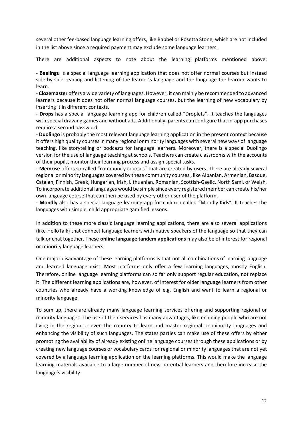several other fee-based language learning offers, like Babbel or Rosetta Stone, which are not included in the list above since a required payment may exclude some language learners.

There are additional aspects to note about the learning platforms mentioned above:

- **Beelingu** is a special language learning application that does not offer normal courses but instead side-by-side reading and listening of the learner's language and the language the learner wants to learn.

- **Clozemaster** offers a wide variety of languages. However, it can mainly be recommended to advanced learners because it does not offer normal language courses, but the learning of new vocabulary by inserting it in different contexts.

- **Drops** has a special language learning app for children called "Droplets". It teaches the languages with special drawing games and without ads. Additionally, parents can configure that in-app purchases require a second password.

- **Duolingo** is probably the most relevant language learning application in the present context because it offers high quality courses in many regional or minority languages with several new ways of language teaching, like storytelling or podcasts for language learners. Moreover, there is a special Duolingo version for the use of language teaching at schools. Teachers can create classrooms with the accounts of their pupils, monitor their learning process and assign special tasks.

- **Memrise** offers so called "community courses" that are created by users. There are already several regional or minority languages covered by these community courses, like Albanian, Armenian, Basque, Catalan, Finnish, Greek, Hungarian, Irish, Lithuanian, Romanian, Scottish-Gaelic, North Sami, or Welsh. To incorporate additional languages would be simple since every registered member can create his/her own language course that can then be used by every other user of the platform.

- **Mondly** also has a special language learning app for children called "Mondly Kids". It teaches the languages with simple, child appropriate gamified lessons.

In addition to these more classic language learning applications, there are also several applications (like HelloTalk) that connect language learners with native speakers of the language so that they can talk or chat together. These **online language tandem applications** may also be of interest for regional or minority language learners.

One major disadvantage of these learning platforms is that not all combinations of learning language and learned language exist. Most platforms only offer a few learning languages, mostly English. Therefore, online language learning platforms can so far only support regular education, not replace it. The different learning applications are, however, of interest for older language learners from other countries who already have a working knowledge of e.g. English and want to learn a regional or minority language.

To sum up, there are already many language learning services offering and supporting regional or minority languages. The use of their services has many advantages, like enabling people who are not living in the region or even the country to learn and master regional or minority languages and enhancing the visibility of such languages. The states parties can make use of these offers by either promoting the availability of already existing online language courses through these applications or by creating new language courses or vocabulary cards for regional or minority languages that are not yet covered by a language learning application on the learning platforms. This would make the language learning materials available to a large number of new potential learners and therefore increase the language's visibility.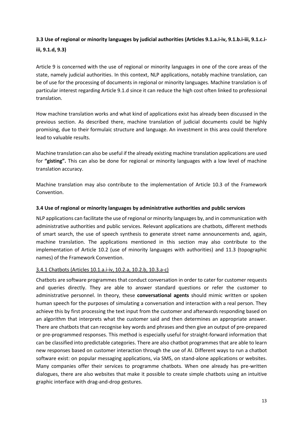## <span id="page-13-0"></span>**3.3 Use of regional or minority languages by judicial authorities (Articles 9.1.a.i-iv, 9.1.b.i-iii, 9.1.c.iiii, 9.1.d, 9.3)**

Article 9 is concerned with the use of regional or minority languages in one of the core areas of the state, namely judicial authorities. In this context, NLP applications, notably machine translation, can be of use for the processing of documents in regional or minority languages. Machine translation is of particular interest regarding Article 9.1.d since it can reduce the high cost often linked to professional translation.

How machine translation works and what kind of applications exist has already been discussed in the previous section. As described there, machine translation of judicial documents could be highly promising, due to their formulaic structure and language. An investment in this area could therefore lead to valuable results.

Machine translation can also be useful if the already existing machine translation applications are used for **"gisting".** This can also be done for regional or minority languages with a low level of machine translation accuracy.

Machine translation may also contribute to the implementation of Article 10.3 of the Framework Convention.

#### <span id="page-13-1"></span>**3.4 Use of regional or minority languages by administrative authorities and public services**

NLP applications can facilitate the use of regional or minority languages by, and in communication with administrative authorities and public services. Relevant applications are chatbots, different methods of smart search, the use of speech synthesis to generate street name announcements and, again, machine translation. The applications mentioned in this section may also contribute to the implementation of Article 10.2 (use of minority languages with authorities) and 11.3 (topographic names) of the Framework Convention.

#### <span id="page-13-2"></span>3.4.1 Chatbots (Articles 10.1.a.i-iv, 10.2.a, 10.2.b, 10.3.a-c)

Chatbots are software programmes that conduct conversation in order to cater for customer requests and queries directly. They are able to answer standard questions or refer the customer to administrative personnel. In theory, these **conversational agents** should mimic written or spoken human speech for the purposes of simulating a conversation and interaction with a real person. They achieve this by first processing the text input from the customer and afterwards responding based on an algorithm that interprets what the customer said and then determines an appropriate answer. There are chatbots that can recognise key words and phrases and then give an output of pre-prepared or pre-programmed responses. This method is especially useful for straight-forward information that can be classified into predictable categories. There are also chatbot programmes that are able to learn new responses based on customer interaction through the use of AI. Different ways to run a chatbot software exist: on popular messaging applications, via SMS, on stand-alone applications or websites. Many companies offer their services to programme chatbots. When one already has pre-written dialogues, there are also websites that make it possible to create simple chatbots using an intuitive graphic interface with drag-and-drop gestures.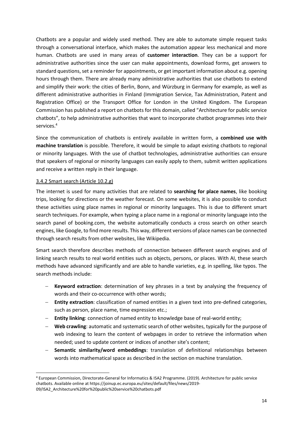Chatbots are a popular and widely used method. They are able to automate simple request tasks through a conversational interface, which makes the automation appear less mechanical and more human. Chatbots are used in many areas of **customer interaction**. They can be a support for administrative authorities since the user can make appointments, download forms, get answers to standard questions, set a reminder for appointments, or get important information about e.g. opening hours through them. There are already many administrative authorities that use chatbots to extend and simplify their work: the cities of Berlin, Bonn, and Würzburg in Germany for example, as well as different administrative authorities in Finland (Immigration Service, Tax Administration, Patent and Registration Office) or the Transport Office for London in the United Kingdom. The European Commission has published a report on chatbots for this domain, called "Architecture for public service chatbots", to help administrative authorities that want to incorporate chatbot programmes into their services.<sup>4</sup>

Since the communication of chatbots is entirely available in written form, a **combined use with machine translation** is possible. Therefore, it would be simple to adapt existing chatbots to regional or minority languages. With the use of chatbot technologies, administrative authorities can ensure that speakers of regional or minority languages can easily apply to them, submit written applications and receive a written reply in their language.

#### <span id="page-14-0"></span>3.4.2 Smart search (Article 10.2.g)

The internet is used for many activities that are related to **searching for place names**, like booking trips, looking for directions or the weather forecast. On some websites, it is also possible to conduct these activities using place names in regional or minority languages. This is due to different smart search techniques. For example, when typing a place name in a regional or minority language into the search panel of booking.com, the website automatically conducts a cross search on other search engines, like Google, to find more results. This way, different versions of place names can be connected through search results from other websites, like Wikipedia.

Smart search therefore describes methods of connection between different search engines and of linking search results to real world entities such as objects, persons, or places. With AI, these search methods have advanced significantly and are able to handle varieties, e.g. in spelling, like typos. The search methods include:

- − **Keyword extraction**: determination of key phrases in a text by analysing the frequency of words and their co-occurrence with other words;
- − **Entity extraction**: classification of named entities in a given text into pre-defined categories, such as person, place name, time expression etc.;
- − **Entity linking**: connection of named entity to knowledge base of real-world entity;
- − **Web crawling**: automatic and systematic search of other websites, typically for the purpose of web indexing to learn the content of webpages in order to retrieve the information when needed; used to update content or indices of another site's content;
- − **Semantic similarity/word embeddings**: translation of definitional relationships between words into mathematical space as described in the section on machine translation.

<sup>4</sup> European Commission, Directorate-General for Informatics & ISA2 Programme. (2019). Architecture for public service chatbots. Available online at https://joinup.ec.europa.eu/sites/default/files/news/2019- 09/ISA2\_Architecture%20for%20public%20service%20chatbots.pdf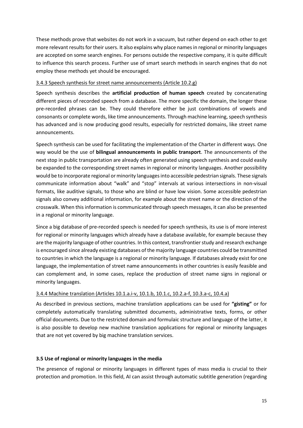These methods prove that websites do not work in a vacuum, but rather depend on each other to get more relevant results for their users. It also explains why place names in regional or minority languages are accepted on some search engines. For persons outside the respective company, it is quite difficult to influence this search process. Further use of smart search methods in search engines that do not employ these methods yet should be encouraged.

#### <span id="page-15-0"></span>3.4.3 Speech synthesis for street name announcements (Article 10.2.g)

Speech synthesis describes the **artificial production of human speech** created by concatenating different pieces of recorded speech from a database. The more specific the domain, the longer these pre-recorded phrases can be. They could therefore either be just combinations of vowels and consonants or complete words, like time announcements. Through machine learning, speech synthesis has advanced and is now producing good results, especially for restricted domains, like street name announcements.

Speech synthesis can be used for facilitating the implementation of the Charter in different ways. One way would be the use of **bilingual announcements in public transport**. The announcements of the next stop in public transportation are already often generated using speech synthesis and could easily be expanded to the corresponding street names in regional or minority languages. Another possibility would be to incorporate regional or minority languages into accessible pedestrian signals. These signals communicate information about "walk" and "stop" intervals at various intersections in non-visual formats, like auditive signals, to those who are blind or have low vision. Some accessible pedestrian signals also convey additional information, for example about the street name or the direction of the crosswalk. When this information is communicated through speech messages, it can also be presented in a regional or minority language.

Since a big database of pre-recorded speech is needed for speech synthesis, its use is of more interest for regional or minority languages which already have a database available, for example because they are the majority language of other countries. In this context, transfrontier study and research exchange is encouraged since already existing databases of the majority language countries could be transmitted to countries in which the language is a regional or minority language. If databases already exist for one language, the implementation of street name announcements in other countries is easily feasible and can complement and, in some cases, replace the production of street name signs in regional or minority languages.

## <span id="page-15-1"></span>3.4.4 Machine translation (Articles 10.1.a.i-v, 10.1.b, 10.1.c, 10.2.a-f, 10.3.a-c, 10.4.a)

As described in previous sections, machine translation applications can be used for **"gisting"** or for completely automatically translating submitted documents, administrative texts, forms, or other official documents. Due to the restricted domain and formulaic structure and language of the latter, it is also possible to develop new machine translation applications for regional or minority languages that are not yet covered by big machine translation services.

#### <span id="page-15-2"></span>**3.5 Use of regional or minority languages in the media**

The presence of regional or minority languages in different types of mass media is crucial to their protection and promotion. In this field, AI can assist through automatic subtitle generation (regarding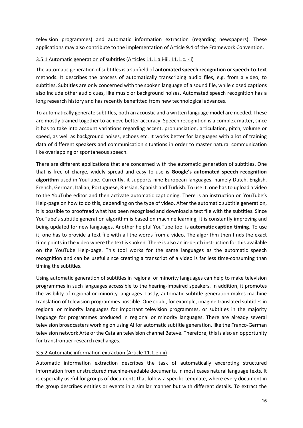television programmes) and automatic information extraction (regarding newspapers). These applications may also contribute to the implementation of Article 9.4 of the Framework Convention.

#### <span id="page-16-0"></span>3.5.1 Automatic generation of subtitles (Articles 11.1.a.i-iii, 11.1.c.i-ii)

The automatic generation of subtitles is a subfield of **automated speech recognition** or **speech-to-text** methods. It describes the process of automatically transcribing audio files, e.g. from a video, to subtitles. Subtitles are only concerned with the spoken language of a sound file, while closed captions also include other audio cues, like music or background noises. Automated speech recognition has a long research history and has recently benefitted from new technological advances.

To automatically generate subtitles, both an acoustic and a written language model are needed. These are mostly trained together to achieve better accuracy. Speech recognition is a complex matter, since it has to take into account variations regarding accent, pronunciation, articulation, pitch, volume or speed, as well as background noises, echoes etc. It works better for languages with a lot of training data of different speakers and communication situations in order to master natural communication like overlapping or spontaneous speech.

There are different applications that are concerned with the automatic generation of subtitles. One that is free of charge, widely spread and easy to use is **Google's automated speech recognition algorithm** used in YouTube. Currently, it supports nine European languages, namely Dutch, English, French, German, Italian, Portuguese, Russian, Spanish and Turkish. To use it, one has to upload a video to the YouTube editor and then activate automatic captioning. There is an instruction on YouTube's Help-page on how to do this, depending on the type of video. After the automatic subtitle generation, it is possible to proofread what has been recognised and download a text file with the subtitles. Since YouTube's subtitle generation algorithm is based on machine learning, it is constantly improving and being updated for new languages. Another helpful YouTube tool is **automatic caption timing**. To use it, one has to provide a text file with all the words from a video. The algorithm then finds the exact time points in the video where the text is spoken. There is also an in-depth instruction for this available on the YouTube Help-page. This tool works for the same languages as the automatic speech recognition and can be useful since creating a transcript of a video is far less time-consuming than timing the subtitles.

Using automatic generation of subtitles in regional or minority languages can help to make television programmes in such languages accessible to the hearing-impaired speakers. In addition, it promotes the visibility of regional or minority languages. Lastly, automatic subtitle generation makes machine translation of television programmes possible. One could, for example, imagine translated subtitles in regional or minority languages for important television programmes, or subtitles in the majority language for programmes produced in regional or minority languages. There are already several television broadcasters working on using AI for automatic subtitle generation, like the Franco-German television network Arte or the Catalan television channel Betevé. Therefore, this is also an opportunity for transfrontier research exchanges.

#### <span id="page-16-1"></span>3.5.2 Automatic information extraction (Article 11.1.e.i-ii)

Automatic information extraction describes the task of automatically excerpting structured information from unstructured machine-readable documents, in most cases natural language texts. It is especially useful for groups of documents that follow a specific template, where every document in the group describes entities or events in a similar manner but with different details. To extract the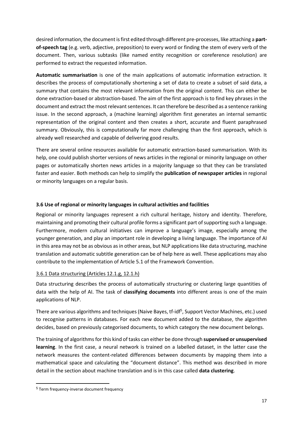desired information, the document is first edited through different pre-processes, like attaching a **partof-speech tag** (e.g. verb, adjective, preposition) to every word or finding the stem of every verb of the document. Then, various subtasks (like named entity recognition or coreference resolution) are performed to extract the requested information.

**Automatic summarisation** is one of the main applications of automatic information extraction. It describes the process of computationally shortening a set of data to create a subset of said data, a summary that contains the most relevant information from the original content. This can either be done extraction-based or abstraction-based. The aim of the first approach is to find key phrases in the document and extract the most relevant sentences. It can therefore be described as a sentence ranking issue. In the second approach, a (machine learning) algorithm first generates an internal semantic representation of the original content and then creates a short, accurate and fluent paraphrased summary. Obviously, this is computationally far more challenging than the first approach, which is already well researched and capable of delivering good results.

There are several online resources available for automatic extraction-based summarisation. With its help, one could publish shorter versions of news articles in the regional or minority language on other pages or automatically shorten news articles in a majority language so that they can be translated faster and easier. Both methods can help to simplify the **publication of newspaper articles** in regional or minority languages on a regular basis.

#### <span id="page-17-0"></span>**3.6 Use of regional or minority languages in cultural activities and facilities**

Regional or minority languages represent a rich cultural heritage, history and identity. Therefore, maintaining and promoting their cultural profile forms a significant part of supporting such a language. Furthermore, modern cultural initiatives can improve a language's image, especially among the younger generation, and play an important role in developing a living language. The importance of AI in this area may not be as obvious as in other areas, but NLP applications like data structuring, machine translation and automatic subtitle generation can be of help here as well. These applications may also contribute to the implementation of Article 5.1 of the Framework Convention.

#### <span id="page-17-1"></span>3.6.1 Data structuring (Articles 12.1.g, 12.1.h)

Data structuring describes the process of automatically structuring or clustering large quantities of data with the help of AI. The task of **classifying documents** into different areas is one of the main applications of NLP.

There are various algorithms and techniques (Naive Bayes, tf-idf<sup>5</sup>, Support Vector Machines, etc.) used to recognise patterns in databases. For each new document added to the database, the algorithm decides, based on previously categorised documents, to which category the new document belongs.

The training of algorithms for this kind of tasks can either be done through **supervised or unsupervised learning**. In the first case, a neural network is trained on a labelled dataset, in the latter case the network measures the content-related differences between documents by mapping them into a mathematical space and calculating the "document distance". This method was described in more detail in the section about machine translation and is in this case called **data clustering**.

<sup>5</sup> Term frequency-inverse document frequency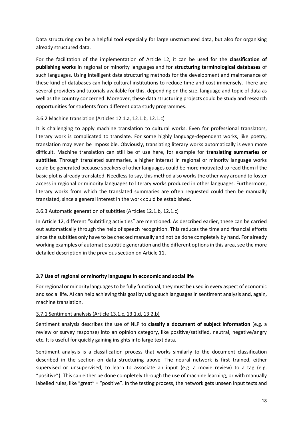Data structuring can be a helpful tool especially for large unstructured data, but also for organising already structured data.

For the facilitation of the implementation of Article 12, it can be used for the **classification of publishing works** in regional or minority languages and for **structuring terminological databases** of such languages. Using intelligent data structuring methods for the development and maintenance of these kind of databases can help cultural institutions to reduce time and cost immensely. There are several providers and tutorials available for this, depending on the size, language and topic of data as well as the country concerned. Moreover, these data structuring projects could be study and research opportunities for students from different data study programmes.

#### <span id="page-18-0"></span>3.6.2 Machine translation (Articles 12.1.a, 12.1.b, 12.1.c)

It is challenging to apply machine translation to cultural works. Even for professional translators, literary work is complicated to translate. For some highly language-dependent works, like poetry, translation may even be impossible. Obviously, translating literary works automatically is even more difficult. Machine translation can still be of use here, for example for **translating summaries or subtitles**. Through translated summaries, a higher interest in regional or minority language works could be generated because speakers of other languages could be more motivated to read them if the basic plot is already translated. Needless to say, this method also works the other way around to foster access in regional or minority languages to literary works produced in other languages. Furthermore, literary works from which the translated summaries are often requested could then be manually translated, since a general interest in the work could be established.

#### <span id="page-18-1"></span>3.6.3 Automatic generation of subtitles (Articles 12.1.b, 12.1.c)

In Article 12, different "subtitling activities" are mentioned. As described earlier, these can be carried out automatically through the help of speech recognition. This reduces the time and financial efforts since the subtitles only have to be checked manually and not be done completely by hand. For already working examples of automatic subtitle generation and the different options in this area, see the more detailed description in the previous section on Article 11.

#### <span id="page-18-2"></span>**3.7 Use of regional or minority languages in economic and social life**

For regional or minority languages to be fully functional, they must be used in every aspect of economic and social life. AI can help achieving this goal by using such languages in sentiment analysis and, again, machine translation.

#### <span id="page-18-3"></span>3.7.1 Sentiment analysis (Article 13.1.c, 13.1.d, 13.2.b)

Sentiment analysis describes the use of NLP to **classify a document of subject information** (e.g. a review or survey response) into an opinion category, like positive/satisfied, neutral, negative/angry etc. It is useful for quickly gaining insights into large text data.

Sentiment analysis is a classification process that works similarly to the document classification described in the section on data structuring above. The neural network is first trained, either supervised or unsupervised, to learn to associate an input (e.g. a movie review) to a tag (e.g. "positive"). This can either be done completely through the use of machine learning, or with manually labelled rules, like "great" = "positive". In the testing process, the network gets unseen input texts and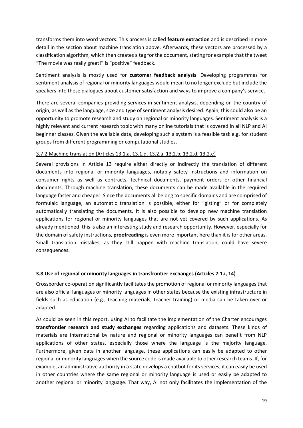transforms them into word vectors. This process is called **feature extraction** and is described in more detail in the section about machine translation above. Afterwards, these vectors are processed by a classification algorithm, which then creates a tag for the document, stating for example that the tweet "The movie was really great!" is "positive" feedback.

Sentiment analysis is mostly used for **customer feedback analysis**. Developing programmes for sentiment analysis of regional or minority languages would mean to no longer exclude but include the speakers into these dialogues about customer satisfaction and ways to improve a company's service.

There are several companies providing services in sentiment analysis, depending on the country of origin, as well as the language, size and type of sentiment analysis desired. Again, this could also be an opportunity to promote research and study on regional or minority languages. Sentiment analysis is a highly relevant and current research topic with many online tutorials that is covered in all NLP and AI beginner classes. Given the available data, developing such a system is a feasible task e.g. for student groups from different programming or computational studies.

#### <span id="page-19-0"></span>3.7.2 Machine translation (Articles 13.1.a, 13.1.d, 13.2.a, 13.2.b, 13.2.d, 13.2.e)

Several provisions in Article 13 require either directly or indirectly the translation of different documents into regional or minority languages, notably safety instructions and information on consumer rights as well as contracts, technical documents, payment orders or other financial documents. Through machine translation, these documents can be made available in the required language faster and cheaper. Since the documents all belong to specific domains and are comprised of formulaic language, an automatic translation is possible, either for "gisting" or for completely automatically translating the documents. It is also possible to develop new machine translation applications for regional or minority languages that are not yet covered by such applications. As already mentioned, this is also an interesting study and research opportunity. However, especially for the domain of safety instructions, **proofreading** is even more important here than it is for other areas. Small translation mistakes, as they still happen with machine translation, could have severe consequences.

## <span id="page-19-1"></span>**3.8 Use of regional or minority languages in transfrontier exchanges (Articles 7.1.i, 14)**

Crossborder co-operation significantly facilitates the promotion of regional or minority languages that are also official languages or minority languages in other states because the existing infrastructure in fields such as education (e.g., teaching materials, teacher training) or media can be taken over or adapted.

As could be seen in this report, using AI to facilitate the implementation of the Charter encourages **transfrontier research and study exchanges** regarding applications and datasets. These kinds of materials are international by nature and regional or minority languages can benefit from NLP applications of other states, especially those where the language is the majority language. Furthermore, given data in another language, these applications can easily be adapted to other regional or minority languages when the source code is made available to other research teams. If, for example, an administrative authority in a state develops a chatbot for its services, it can easily be used in other countries where the same regional or minority language is used or easily be adapted to another regional or minority language. That way, AI not only facilitates the implementation of the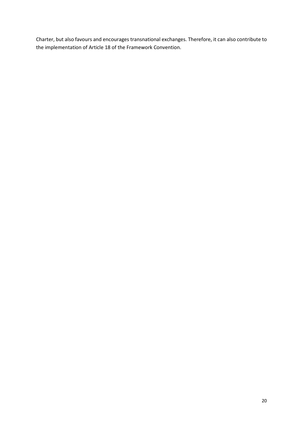Charter, but also favours and encourages transnational exchanges. Therefore, it can also contribute to the implementation of Article 18 of the Framework Convention.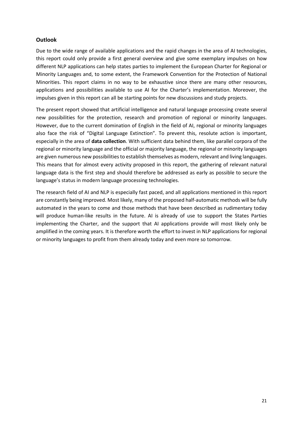#### <span id="page-21-0"></span>**Outlook**

Due to the wide range of available applications and the rapid changes in the area of AI technologies, this report could only provide a first general overview and give some exemplary impulses on how different NLP applications can help states parties to implement the European Charter for Regional or Minority Languages and, to some extent, the Framework Convention for the Protection of National Minorities. This report claims in no way to be exhaustive since there are many other resources, applications and possibilities available to use AI for the Charter's implementation. Moreover, the impulses given in this report can all be starting points for new discussions and study projects.

The present report showed that artificial intelligence and natural language processing create several new possibilities for the protection, research and promotion of regional or minority languages. However, due to the current domination of English in the field of AI, regional or minority languages also face the risk of "Digital Language Extinction". To prevent this, resolute action is important, especially in the area of **data collection**. With sufficient data behind them, like parallel corpora of the regional or minority language and the official or majority language, the regional or minority languages are given numerous new possibilities to establish themselves as modern, relevant and living languages. This means that for almost every activity proposed in this report, the gathering of relevant natural language data is the first step and should therefore be addressed as early as possible to secure the language's status in modern language processing technologies.

The research field of AI and NLP is especially fast paced, and all applications mentioned in this report are constantly being improved. Most likely, many of the proposed half-automatic methods will be fully automated in the years to come and those methods that have been described as rudimentary today will produce human-like results in the future. AI is already of use to support the States Parties implementing the Charter, and the support that AI applications provide will most likely only be amplified in the coming years. It is therefore worth the effort to invest in NLP applications for regional or minority languages to profit from them already today and even more so tomorrow.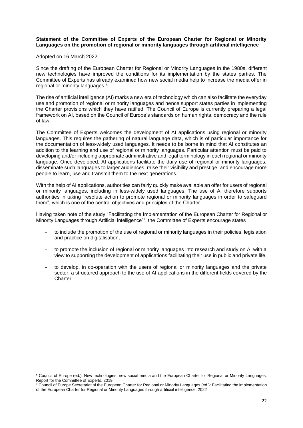#### **Statement of the Committee of Experts of the European Charter for Regional or Minority Languages on the promotion of regional or minority languages through artificial intelligence**

#### Adopted on 16 March 2022

Since the drafting of the European Charter for Regional or Minority Languages in the 1980s, different new technologies have improved the conditions for its implementation by the states parties. The Committee of Experts has already examined how new social media help to increase the media offer in regional or minority languages.<sup>6</sup>

The rise of artificial intelligence (AI) marks a new era of technology which can also facilitate the everyday use and promotion of regional or minority languages and hence support states parties in implementing the Charter provisions which they have ratified. The Council of Europe is currently preparing a legal framework on AI, based on the Council of Europe's standards on human rights, democracy and the rule of law.

The Committee of Experts welcomes the development of AI applications using regional or minority languages. This requires the gathering of natural language data, which is of particular importance for the documentation of less-widely used languages. It needs to be borne in mind that AI constitutes an addition to the learning and use of regional or minority languages. Particular attention must be paid to developing and/or including appropriate administrative and legal terminology in each regional or minority language. Once developed, AI applications facilitate the daily use of regional or minority languages, disseminate such languages to larger audiences, raise their visibility and prestige, and encourage more people to learn, use and transmit them to the next generations.

With the help of AI applications, authorities can fairly quickly make available an offer for users of regional or minority languages, including in less-widely used languages. The use of AI therefore supports authorities in taking "resolute action to promote regional or minority languages in order to safeguard them", which is one of the central objectives and principles of the Charter.

Having taken note of the study "Facilitating the Implementation of the European Charter for Regional or Minority Languages through Artificial Intelligence"<sup>7</sup> , the Committee of Experts encourage states

- to include the promotion of the use of regional or minority languages in their policies, legislation and practice on digitalisation,
- to promote the inclusion of regional or minority languages into research and study on AI with a view to supporting the development of applications facilitating their use in public and private life,
- to develop, in co-operation with the users of regional or minority languages and the private sector, a structured approach to the use of AI applications in the different fields covered by the **Charter**

<sup>&</sup>lt;sup>6</sup> Council of Europe (ed.): New technologies, new social media and the European Charter for Regional or Minority Languages, Report for the Committee of Experts, 2019

 $7$  Council of Europe Secretariat of the European Charter for Regional or Minority Languages (ed.): Facilitating the implementation of the European Charter for Regional or Minority Languages through artificial intelligence, 2022